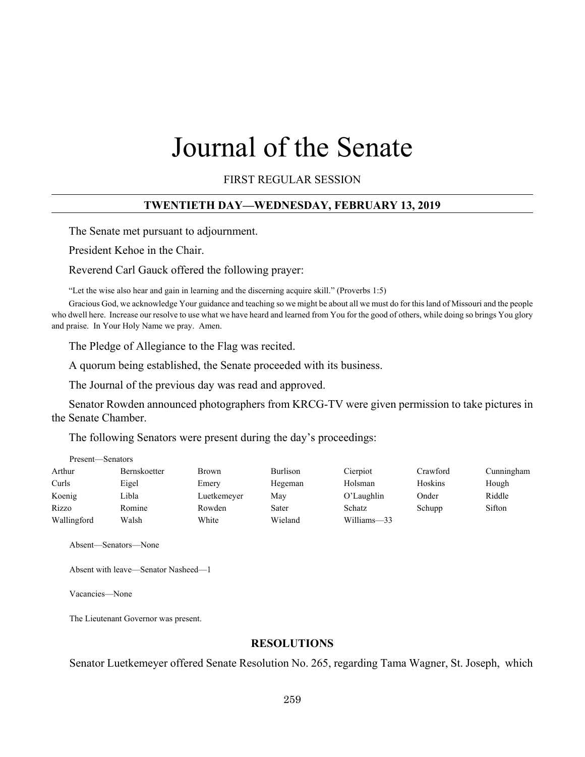# Journal of the Senate

FIRST REGULAR SESSION

#### **TWENTIETH DAY—WEDNESDAY, FEBRUARY 13, 2019**

The Senate met pursuant to adjournment.

President Kehoe in the Chair.

Reverend Carl Gauck offered the following prayer:

"Let the wise also hear and gain in learning and the discerning acquire skill." (Proverbs 1:5)

Gracious God, we acknowledge Your guidance and teaching so we might be about all we must do for this land of Missouri and the people who dwell here. Increase our resolve to use what we have heard and learned from You for the good of others, while doing so brings You glory and praise. In Your Holy Name we pray. Amen.

The Pledge of Allegiance to the Flag was recited.

A quorum being established, the Senate proceeded with its business.

The Journal of the previous day was read and approved.

Senator Rowden announced photographers from KRCG-TV were given permission to take pictures in the Senate Chamber.

The following Senators were present during the day's proceedings:

| Present—Senators |                     |              |          |               |          |            |
|------------------|---------------------|--------------|----------|---------------|----------|------------|
| Arthur           | <b>Bernskoetter</b> | <b>Brown</b> | Burlison | Cierpiot      | Crawford | Cunningham |
| Curls            | Eigel               | Emery        | Hegeman  | Holsman       | Hoskins  | Hough      |
| Koenig           | Libla               | Luetkemeyer  | May      | O'Laughlin    | Onder    | Riddle     |
| Rizzo            | Romine              | Rowden       | Sater    | <b>Schatz</b> | Schupp   | Sifton     |
| Wallingford      | Walsh               | White        | Wieland  | Williams-33   |          |            |

Absent—Senators—None

Absent with leave—Senator Nasheed—1

Vacancies—None

The Lieutenant Governor was present.

#### **RESOLUTIONS**

Senator Luetkemeyer offered Senate Resolution No. 265, regarding Tama Wagner, St. Joseph, which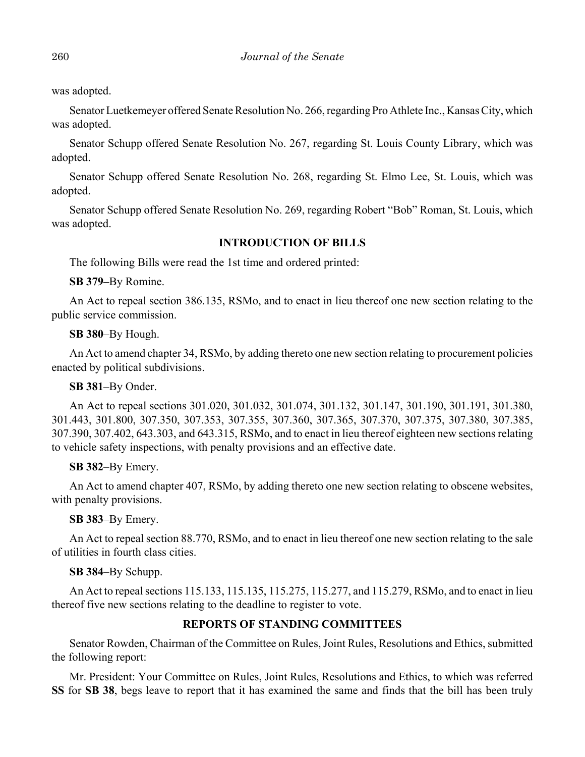was adopted.

Senator Luetkemeyer offered Senate Resolution No. 266, regarding Pro Athlete Inc., Kansas City, which was adopted.

Senator Schupp offered Senate Resolution No. 267, regarding St. Louis County Library, which was adopted.

Senator Schupp offered Senate Resolution No. 268, regarding St. Elmo Lee, St. Louis, which was adopted.

Senator Schupp offered Senate Resolution No. 269, regarding Robert "Bob" Roman, St. Louis, which was adopted.

# **INTRODUCTION OF BILLS**

The following Bills were read the 1st time and ordered printed:

**SB 379–**By Romine.

An Act to repeal section 386.135, RSMo, and to enact in lieu thereof one new section relating to the public service commission.

**SB 380**–By Hough.

An Act to amend chapter 34, RSMo, by adding thereto one new section relating to procurement policies enacted by political subdivisions.

**SB 381**–By Onder.

An Act to repeal sections 301.020, 301.032, 301.074, 301.132, 301.147, 301.190, 301.191, 301.380, 301.443, 301.800, 307.350, 307.353, 307.355, 307.360, 307.365, 307.370, 307.375, 307.380, 307.385, 307.390, 307.402, 643.303, and 643.315, RSMo, and to enact in lieu thereof eighteen new sections relating to vehicle safety inspections, with penalty provisions and an effective date.

# **SB 382**–By Emery.

An Act to amend chapter 407, RSMo, by adding thereto one new section relating to obscene websites, with penalty provisions.

# **SB 383**–By Emery.

An Act to repeal section 88.770, RSMo, and to enact in lieu thereof one new section relating to the sale of utilities in fourth class cities.

# **SB 384**–By Schupp.

An Act to repeal sections 115.133, 115.135, 115.275, 115.277, and 115.279, RSMo, and to enact in lieu thereof five new sections relating to the deadline to register to vote.

# **REPORTS OF STANDING COMMITTEES**

Senator Rowden, Chairman of the Committee on Rules, Joint Rules, Resolutions and Ethics, submitted the following report:

Mr. President: Your Committee on Rules, Joint Rules, Resolutions and Ethics, to which was referred **SS** for **SB 38**, begs leave to report that it has examined the same and finds that the bill has been truly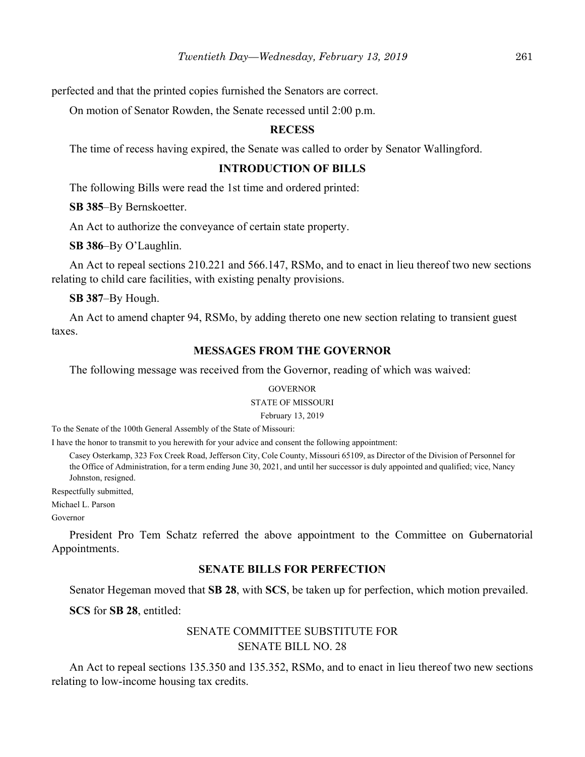perfected and that the printed copies furnished the Senators are correct.

On motion of Senator Rowden, the Senate recessed until 2:00 p.m.

#### **RECESS**

The time of recess having expired, the Senate was called to order by Senator Wallingford.

# **INTRODUCTION OF BILLS**

The following Bills were read the 1st time and ordered printed:

**SB 385**–By Bernskoetter.

An Act to authorize the conveyance of certain state property.

**SB 386**–By O'Laughlin.

An Act to repeal sections 210.221 and 566.147, RSMo, and to enact in lieu thereof two new sections relating to child care facilities, with existing penalty provisions.

**SB 387**–By Hough.

An Act to amend chapter 94, RSMo, by adding thereto one new section relating to transient guest taxes.

#### **MESSAGES FROM THE GOVERNOR**

The following message was received from the Governor, reading of which was waived:

#### **GOVERNOR**

#### STATE OF MISSOURI

February 13, 2019

To the Senate of the 100th General Assembly of the State of Missouri:

I have the honor to transmit to you herewith for your advice and consent the following appointment:

Casey Osterkamp, 323 Fox Creek Road, Jefferson City, Cole County, Missouri 65109, as Director of the Division of Personnel for the Office of Administration, for a term ending June 30, 2021, and until her successor is duly appointed and qualified; vice, Nancy Johnston, resigned.

Respectfully submitted,

Michael L. Parson

Governor

President Pro Tem Schatz referred the above appointment to the Committee on Gubernatorial Appointments.

# **SENATE BILLS FOR PERFECTION**

Senator Hegeman moved that **SB 28**, with **SCS**, be taken up for perfection, which motion prevailed.

**SCS** for **SB 28**, entitled:

# SENATE COMMITTEE SUBSTITUTE FOR SENATE BILL NO. 28

An Act to repeal sections 135.350 and 135.352, RSMo, and to enact in lieu thereof two new sections relating to low-income housing tax credits.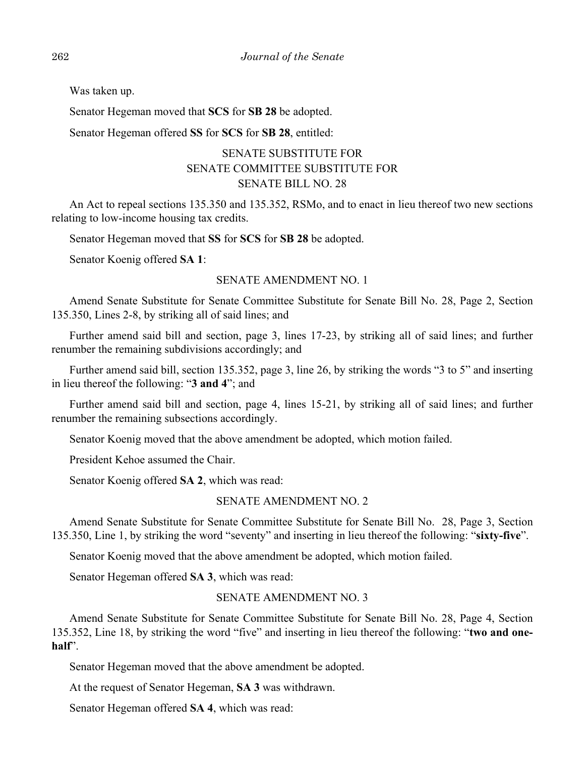Was taken up.

Senator Hegeman moved that **SCS** for **SB 28** be adopted.

Senator Hegeman offered **SS** for **SCS** for **SB 28**, entitled:

# SENATE SUBSTITUTE FOR SENATE COMMITTEE SUBSTITUTE FOR SENATE BILL NO. 28

An Act to repeal sections 135.350 and 135.352, RSMo, and to enact in lieu thereof two new sections relating to low-income housing tax credits.

Senator Hegeman moved that **SS** for **SCS** for **SB 28** be adopted.

Senator Koenig offered **SA 1**:

#### SENATE AMENDMENT NO. 1

Amend Senate Substitute for Senate Committee Substitute for Senate Bill No. 28, Page 2, Section 135.350, Lines 2-8, by striking all of said lines; and

Further amend said bill and section, page 3, lines 17-23, by striking all of said lines; and further renumber the remaining subdivisions accordingly; and

Further amend said bill, section 135.352, page 3, line 26, by striking the words "3 to 5" and inserting in lieu thereof the following: "**3 and 4**"; and

Further amend said bill and section, page 4, lines 15-21, by striking all of said lines; and further renumber the remaining subsections accordingly.

Senator Koenig moved that the above amendment be adopted, which motion failed.

President Kehoe assumed the Chair.

Senator Koenig offered **SA 2**, which was read:

#### SENATE AMENDMENT NO. 2

Amend Senate Substitute for Senate Committee Substitute for Senate Bill No. 28, Page 3, Section 135.350, Line 1, by striking the word "seventy" and inserting in lieu thereof the following: "**sixty-five**".

Senator Koenig moved that the above amendment be adopted, which motion failed.

Senator Hegeman offered **SA 3**, which was read:

#### SENATE AMENDMENT NO. 3

Amend Senate Substitute for Senate Committee Substitute for Senate Bill No. 28, Page 4, Section 135.352, Line 18, by striking the word "five" and inserting in lieu thereof the following: "**two and onehalf**".

Senator Hegeman moved that the above amendment be adopted.

At the request of Senator Hegeman, **SA 3** was withdrawn.

Senator Hegeman offered **SA 4**, which was read: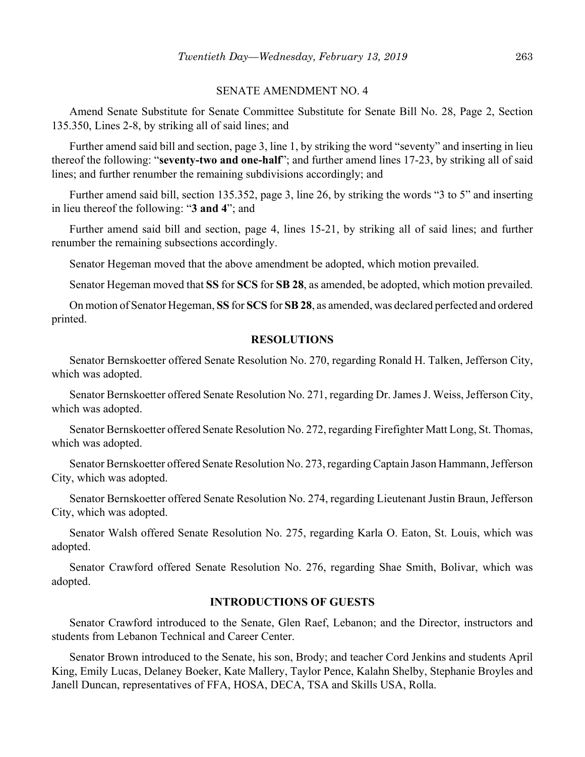#### SENATE AMENDMENT NO. 4

Amend Senate Substitute for Senate Committee Substitute for Senate Bill No. 28, Page 2, Section 135.350, Lines 2-8, by striking all of said lines; and

Further amend said bill and section, page 3, line 1, by striking the word "seventy" and inserting in lieu thereof the following: "**seventy-two and one-half**"; and further amend lines 17-23, by striking all of said lines; and further renumber the remaining subdivisions accordingly; and

Further amend said bill, section 135.352, page 3, line 26, by striking the words "3 to 5" and inserting in lieu thereof the following: "**3 and 4**"; and

Further amend said bill and section, page 4, lines 15-21, by striking all of said lines; and further renumber the remaining subsections accordingly.

Senator Hegeman moved that the above amendment be adopted, which motion prevailed.

Senator Hegeman moved that **SS** for **SCS** for **SB 28**, as amended, be adopted, which motion prevailed.

On motion of Senator Hegeman, **SS** for **SCS** for **SB 28**, as amended, was declared perfected and ordered printed.

#### **RESOLUTIONS**

Senator Bernskoetter offered Senate Resolution No. 270, regarding Ronald H. Talken, Jefferson City, which was adopted.

Senator Bernskoetter offered Senate Resolution No. 271, regarding Dr. James J. Weiss, Jefferson City, which was adopted.

Senator Bernskoetter offered Senate Resolution No. 272, regarding Firefighter Matt Long, St. Thomas, which was adopted.

Senator Bernskoetter offered Senate Resolution No. 273, regarding Captain Jason Hammann, Jefferson City, which was adopted.

Senator Bernskoetter offered Senate Resolution No. 274, regarding Lieutenant Justin Braun, Jefferson City, which was adopted.

Senator Walsh offered Senate Resolution No. 275, regarding Karla O. Eaton, St. Louis, which was adopted.

Senator Crawford offered Senate Resolution No. 276, regarding Shae Smith, Bolivar, which was adopted.

# **INTRODUCTIONS OF GUESTS**

Senator Crawford introduced to the Senate, Glen Raef, Lebanon; and the Director, instructors and students from Lebanon Technical and Career Center.

Senator Brown introduced to the Senate, his son, Brody; and teacher Cord Jenkins and students April King, Emily Lucas, Delaney Boeker, Kate Mallery, Taylor Pence, Kalahn Shelby, Stephanie Broyles and Janell Duncan, representatives of FFA, HOSA, DECA, TSA and Skills USA, Rolla.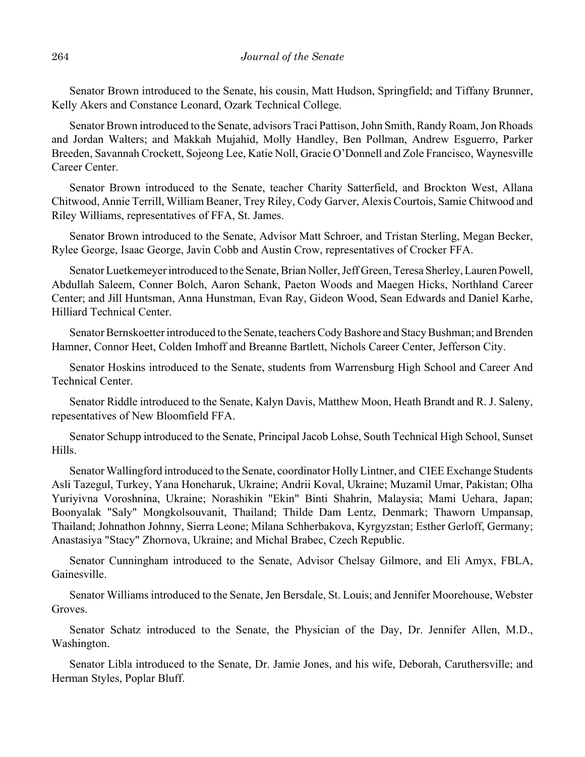Senator Brown introduced to the Senate, his cousin, Matt Hudson, Springfield; and Tiffany Brunner, Kelly Akers and Constance Leonard, Ozark Technical College.

Senator Brown introduced to the Senate, advisors Traci Pattison, John Smith, Randy Roam, Jon Rhoads and Jordan Walters; and Makkah Mujahid, Molly Handley, Ben Pollman, Andrew Esguerro, Parker Breeden, Savannah Crockett, Sojeong Lee, Katie Noll, Gracie O'Donnell and Zole Francisco, Waynesville Career Center.

Senator Brown introduced to the Senate, teacher Charity Satterfield, and Brockton West, Allana Chitwood, Annie Terrill, William Beaner, Trey Riley, Cody Garver, Alexis Courtois, Samie Chitwood and Riley Williams, representatives of FFA, St. James.

Senator Brown introduced to the Senate, Advisor Matt Schroer, and Tristan Sterling, Megan Becker, Rylee George, Isaac George, Javin Cobb and Austin Crow, representatives of Crocker FFA.

Senator Luetkemeyer introduced to the Senate, Brian Noller, Jeff Green, Teresa Sherley, Lauren Powell, Abdullah Saleem, Conner Bolch, Aaron Schank, Paeton Woods and Maegen Hicks, Northland Career Center; and Jill Huntsman, Anna Hunstman, Evan Ray, Gideon Wood, Sean Edwards and Daniel Karhe, Hilliard Technical Center.

Senator Bernskoetter introduced to the Senate, teachers Cody Bashore and Stacy Bushman; and Brenden Hamner, Connor Heet, Colden Imhoff and Breanne Bartlett, Nichols Career Center, Jefferson City.

Senator Hoskins introduced to the Senate, students from Warrensburg High School and Career And Technical Center.

Senator Riddle introduced to the Senate, Kalyn Davis, Matthew Moon, Heath Brandt and R. J. Saleny, repesentatives of New Bloomfield FFA.

Senator Schupp introduced to the Senate, Principal Jacob Lohse, South Technical High School, Sunset Hills.

Senator Wallingford introduced to the Senate, coordinator Holly Lintner, and CIEE Exchange Students Asli Tazegul, Turkey, Yana Honcharuk, Ukraine; Andrii Koval, Ukraine; Muzamil Umar, Pakistan; Olha Yuriyivna Voroshnina, Ukraine; Norashikin "Ekin" Binti Shahrin, Malaysia; Mami Uehara, Japan; Boonyalak "Saly" Mongkolsouvanit, Thailand; Thilde Dam Lentz, Denmark; Thaworn Umpansap, Thailand; Johnathon Johnny, Sierra Leone; Milana Schherbakova, Kyrgyzstan; Esther Gerloff, Germany; Anastasiya "Stacy" Zhornova, Ukraine; and Michal Brabec, Czech Republic.

Senator Cunningham introduced to the Senate, Advisor Chelsay Gilmore, and Eli Amyx, FBLA, Gainesville.

Senator Williams introduced to the Senate, Jen Bersdale, St. Louis; and Jennifer Moorehouse, Webster Groves.

Senator Schatz introduced to the Senate, the Physician of the Day, Dr. Jennifer Allen, M.D., Washington.

Senator Libla introduced to the Senate, Dr. Jamie Jones, and his wife, Deborah, Caruthersville; and Herman Styles, Poplar Bluff.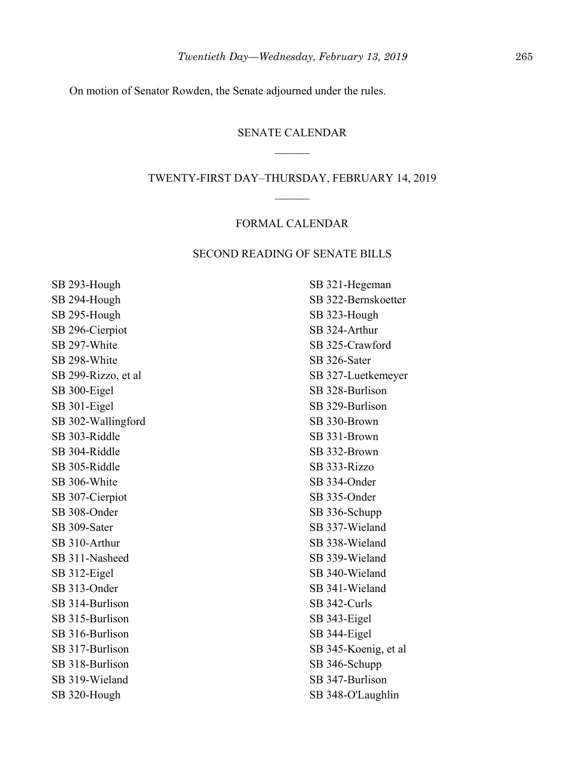On motion of Senator Rowden, the Senate adjourned under the rules.

#### SENATE CALENDAR

#### TWENTY-FIRST DAY–THURSDAY, FEBRUARY 14, 2019

#### FORMAL CALENDAR

#### SECOND READING OF SENATE BILLS

SB 293-Hough SB 294-Hough SB 295-Hough SB 296-Cierpiot SB 297-White SB 298-White SB 299-Rizzo, et al SB 300-Eigel SB 301-Eigel SB 302-Wallingford SB 303-Riddle SB 304-Riddle SB 305-Riddle SB 306-White SB 307-Cierpiot SB 308-Onder SB 309-Sater SB 310-Arthur SB 311-Nasheed SB 312-Eigel SB 313-Onder SB 314-Burlison SB 315-Burlison SB 316-Burlison SB 317-Burlison SB 318-Burlison SB 319-Wieland SB 320-Hough

SB 321-Hegeman SB 322-Bernskoetter SB 323-Hough SB 324-Arthur SB 325-Crawford SB 326-Sater SB 327-Luetkemeyer SB 328-Burlison SB 329-Burlison SB 330-Brown SB 331-Brown SB 332-Brown SB 333-Rizzo SB 334-Onder SB 335-Onder SB 336-Schupp SB 337-Wieland SB 338-Wieland SB 339-Wieland SB 340-Wieland SB 341-Wieland SB 342-Curls SB 343-Eigel SB 344-Eigel SB 345-Koenig, et al SB 346-Schupp SB 347-Burlison SB 348-O'Laughlin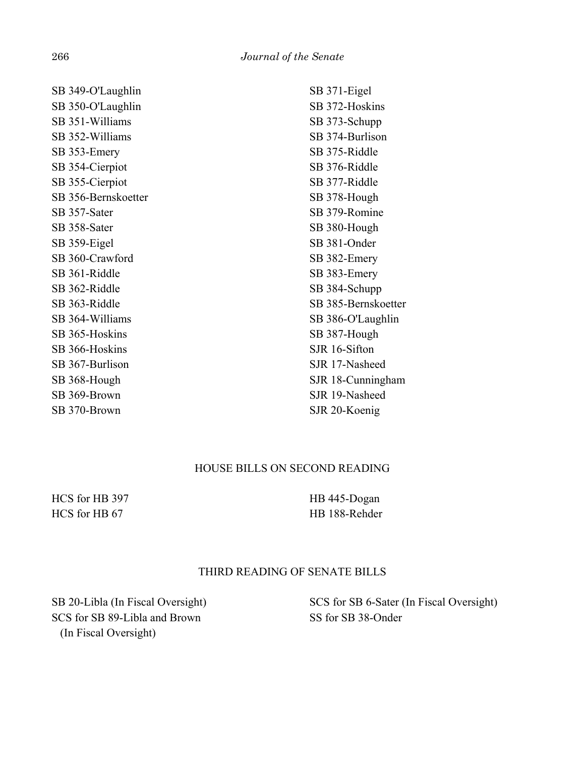SB 349-O'Laughlin SB 350-O'Laughlin SB 351-Williams SB 352-Williams SB 353-Emery SB 354-Cierpiot SB 355-Cierpiot SB 356-Bernskoetter SB 357-Sater SB 358-Sater SB 359-Eigel SB 360-Crawford SB 361-Riddle SB 362-Riddle SB 363-Riddle SB 364-Williams SB 365-Hoskins SB 366-Hoskins SB 367-Burlison SB 368-Hough SB 369-Brown SB 370-Brown

SB 371-Eigel SB 372-Hoskins SB 373-Schupp SB 374-Burlison SB 375-Riddle SB 376-Riddle SB 377-Riddle SB 378-Hough SB 379-Romine SB 380-Hough SB 381-Onder SB 382-Emery SB 383-Emery SB 384-Schupp SB 385-Bernskoetter SB 386-O'Laughlin SB 387-Hough SJR 16-Sifton SJR 17-Nasheed SJR 18-Cunningham SJR 19-Nasheed SJR 20-Koenig

# HOUSE BILLS ON SECOND READING

HCS for HB 397 HCS for HB 67

HB 445-Dogan HB 188-Rehder

# THIRD READING OF SENATE BILLS

SB 20-Libla (In Fiscal Oversight) SCS for SB 89-Libla and Brown (In Fiscal Oversight)

SCS for SB 6-Sater (In Fiscal Oversight) SS for SB 38-Onder